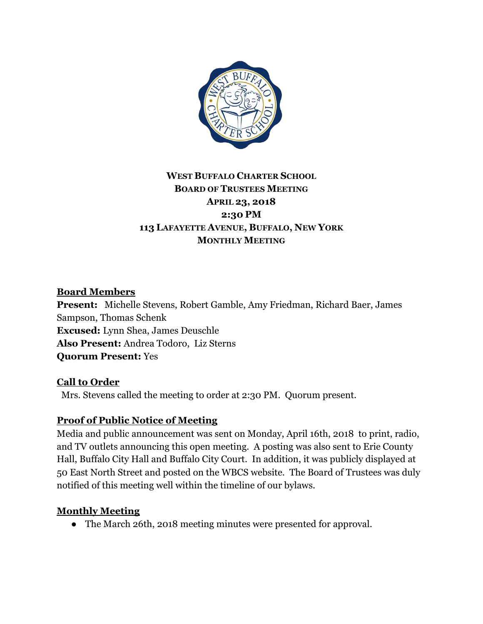

# **WEST BUFFALO CHARTER SCHOOL BOARD OF TRUSTEES MEETING APRIL 23, 2018 2:30 PM 113 LAFAYETTE AVENUE, BUFFALO, NEW YORK MONTHLY MEETING**

### **Board Members**

**Present:** Michelle Stevens, Robert Gamble, Amy Friedman, Richard Baer, James Sampson, Thomas Schenk **Excused:** Lynn Shea, James Deuschle **Also Present:** Andrea Todoro, Liz Sterns **Quorum Present:** Yes

#### **Call to Order**

Mrs. Stevens called the meeting to order at 2:30 PM. Quorum present.

#### **Proof of Public Notice of Meeting**

Media and public announcement was sent on Monday, April 16th, 2018 to print, radio, and TV outlets announcing this open meeting. A posting was also sent to Erie County Hall, Buffalo City Hall and Buffalo City Court. In addition, it was publicly displayed at 50 East North Street and posted on the WBCS website. The Board of Trustees was duly notified of this meeting well within the timeline of our bylaws.

#### **Monthly Meeting**

• The March 26th, 2018 meeting minutes were presented for approval.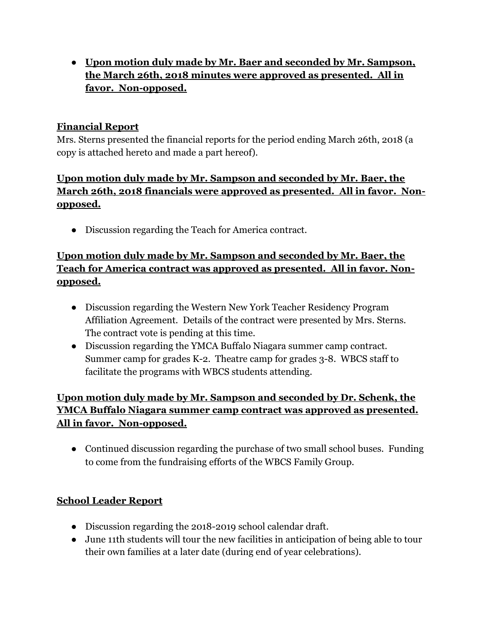● **Upon motion duly made by Mr. Baer and seconded by Mr. Sampson, the March 26th, 2018 minutes were approved as presented. All in favor. Non-opposed.**

### **Financial Report**

Mrs. Sterns presented the financial reports for the period ending March 26th, 2018 (a copy is attached hereto and made a part hereof).

## **Upon motion duly made by Mr. Sampson and seconded by Mr. Baer, the March 26th, 2018 financials were approved as presented. All in favor. Nonopposed.**

● Discussion regarding the Teach for America contract.

# **Upon motion duly made by Mr. Sampson and seconded by Mr. Baer, the Teach for America contract was approved as presented. All in favor. Nonopposed.**

- Discussion regarding the Western New York Teacher Residency Program Affiliation Agreement. Details of the contract were presented by Mrs. Sterns. The contract vote is pending at this time.
- Discussion regarding the YMCA Buffalo Niagara summer camp contract. Summer camp for grades K-2. Theatre camp for grades 3-8. WBCS staff to facilitate the programs with WBCS students attending.

# **Upon motion duly made by Mr. Sampson and seconded by Dr. Schenk, the YMCA Buffalo Niagara summer camp contract was approved as presented. All in favor. Non-opposed.**

• Continued discussion regarding the purchase of two small school buses. Funding to come from the fundraising efforts of the WBCS Family Group.

# **School Leader Report**

- Discussion regarding the 2018-2019 school calendar draft.
- June 11th students will tour the new facilities in anticipation of being able to tour their own families at a later date (during end of year celebrations).